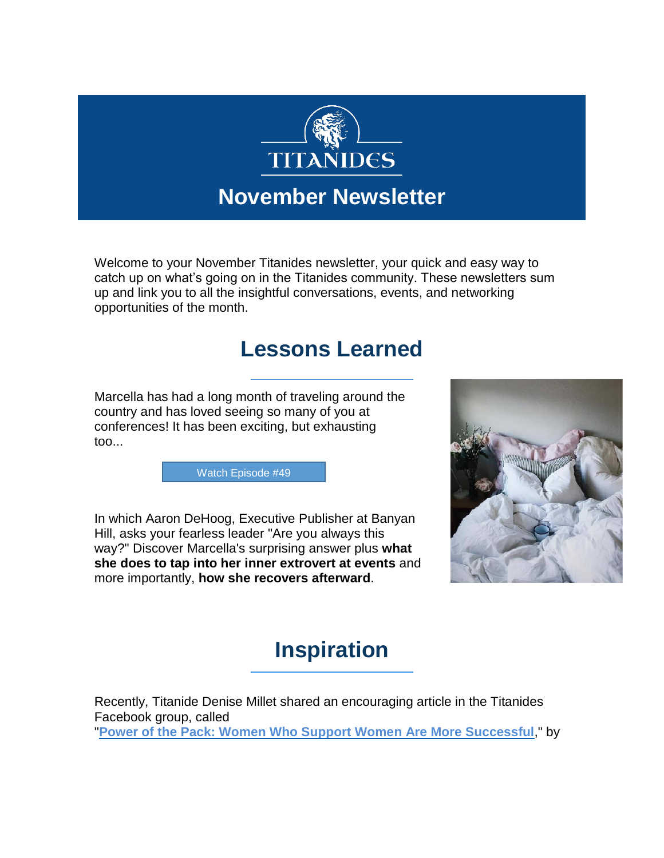

### **November Newsletter**

Welcome to your November Titanides newsletter, your quick and easy way to catch up on what's going on in the Titanides community. These newsletters sum up and link you to all the insightful conversations, events, and networking opportunities of the month.

#### **Lessons Learned**

Marcella has had a long month of traveling around the country and has loved seeing so many of you at conferences! It has been exciting, but exhausting too...

[Watch Episode #49](https://www.facebook.com/groups/Titanides/permalink/2490878684522283/)

In which Aaron DeHoog, Executive Publisher at Banyan Hill, asks your fearless leader "Are you always this way?" Discover Marcella's surprising answer plus **what she does to tap into her inner extrovert at events** and more importantly, **how she recovers afterward**.



## **Inspiration**

Recently, Titanide Denise Millet shared an encouraging article in the Titanides Facebook group, called "**[Power of the Pack: Women Who Support Women Are More Successful](https://www.facebook.com/groups/Titanides/)**," by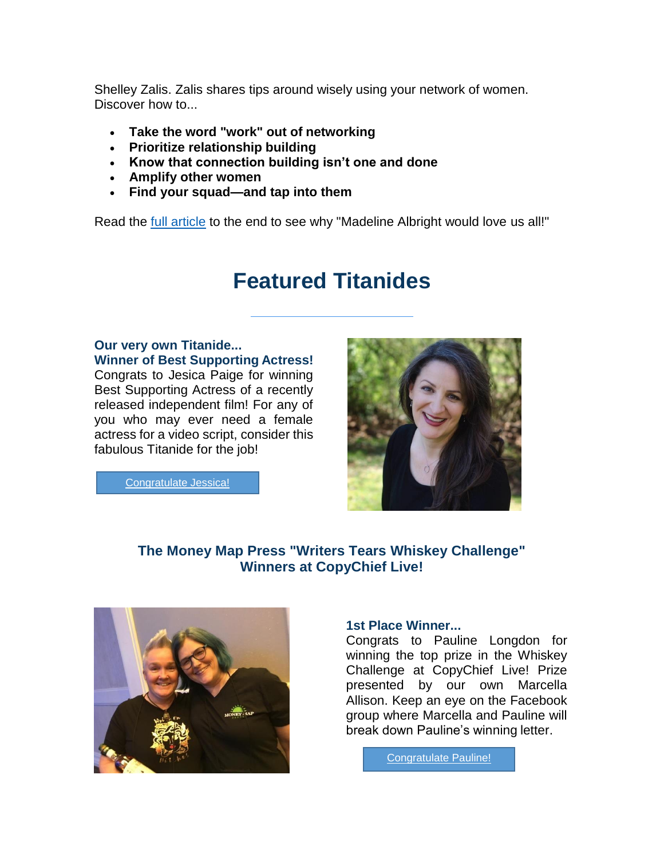Shelley Zalis. Zalis shares tips around wisely using your network of women. Discover how to...

- **Take the word "work" out of networking**
- **Prioritize relationship building**
- **Know that connection building isn't one and done**
- **Amplify other women**
- **Find your squad—and tap into them**

Read the **full article** to the end to see why "Madeline Albright would love us all!"

### **Featured Titanides**

#### **Our very own Titanide...**

**Winner of Best Supporting Actress!**  Congrats to Jesica Paige for winning Best Supporting Actress of a recently released independent film! For any of you who may ever need a female actress for a video script, consider this fabulous Titanide for the job!

[Congratulate Jessica!](https://www.facebook.com/groups/Titanides/permalink/2490878684522283/)

#### **The Money Map Press "Writers Tears Whiskey Challenge" Winners at CopyChief Live!**



#### **1st Place Winner...**

Congrats to Pauline Longdon for winning the top prize in the Whiskey Challenge at CopyChief Live! Prize presented by our own Marcella Allison. Keep an eye on the Facebook group where Marcella and Pauline will break down Pauline's winning letter.

[Congratulate Pauline!](https://www.facebook.com/groups/Titanides/permalink/2491449267798558/)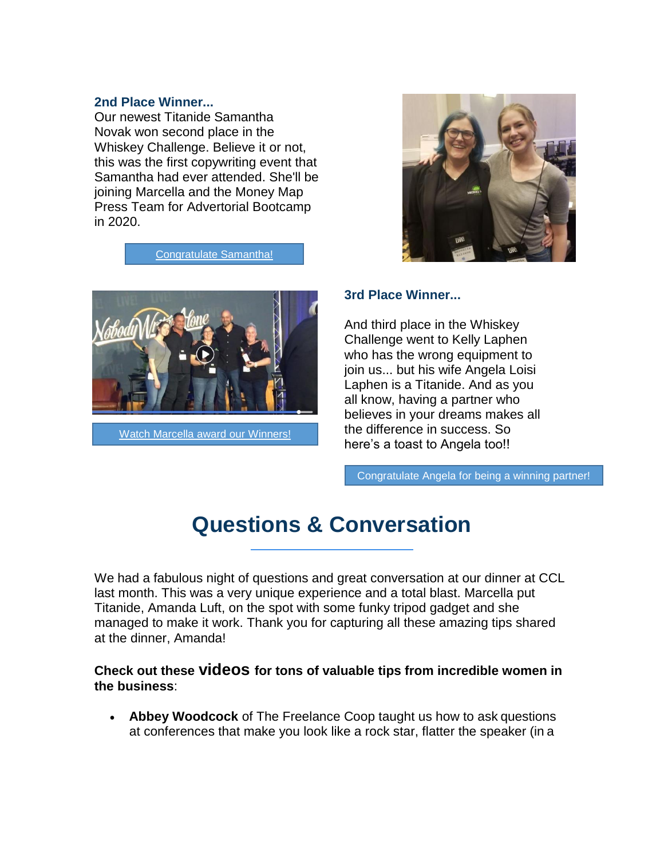#### **2nd Place Winner...**

Our newest Titanide Samantha Novak won second place in the Whiskey Challenge. Believe it or not, this was the first copywriting event that Samantha had ever attended. She'll be joining Marcella and the Money Map Press Team for Advertorial Bootcamp in 2020.

[Congratulate Samantha!](https://www.facebook.com/groups/Titanides/permalink/2491449267798558/)



[Watch Marcella award our Winners!](https://www.facebook.com/groups/Titanides/permalink/2491449267798558/)



#### **3rd Place Winner...**

And third place in the Whiskey Challenge went to Kelly Laphen who has the wrong equipment to join us... but his wife Angela Loisi Laphen is a Titanide. And as you all know, having a partner who believes in your dreams makes all the difference in success. So here's a toast to Angela too!!

[Congratulate Angela for being a winning partner!](https://www.facebook.com/groups/Titanides/permalink/2491572057786279/)

## **Questions & Conversation**

We had a fabulous night of questions and great conversation at our dinner at CCL last month. This was a very unique experience and a total blast. Marcella put Titanide, Amanda Luft, on the spot with some funky tripod gadget and she managed to make it work. Thank you for capturing all these amazing tips shared at the dinner, Amanda!

**Check out these videos for tons of valuable tips from incredible women in the business**:

 **Abbey Woodcock** of The Freelance Coop taught us how to ask questions at conferences that make you look like a rock star, flatter the speaker (in a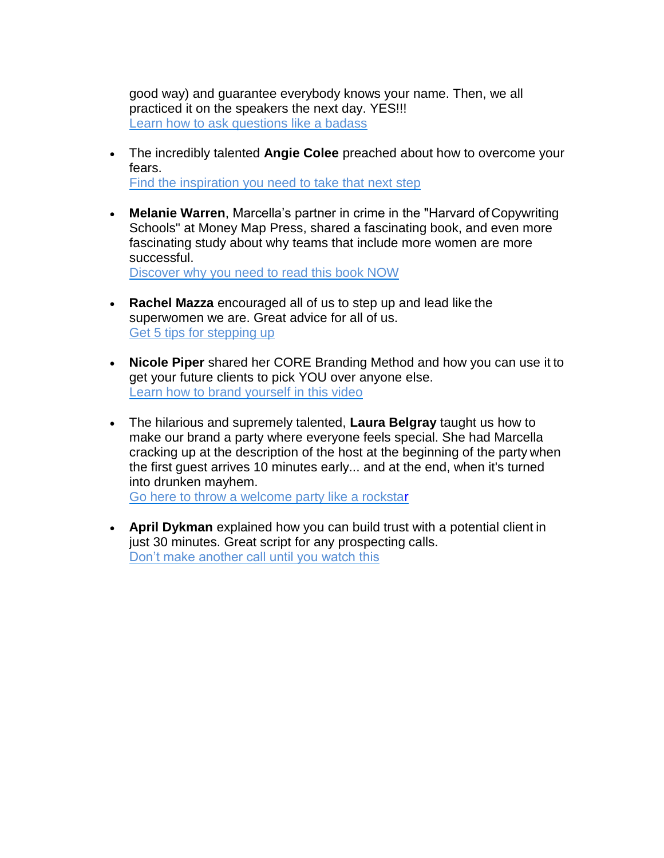good way) and guarantee everybody knows your name. Then, we all practiced it on the speakers the next day. YES!!! [Learn how to ask questions like a badass](https://www.facebook.com/groups/Titanides/)

- The incredibly talented **Angie Colee** preached about how to overcome your fears. [Find the inspiration you need to take that next step](https://www.facebook.com/groups/Titanides/)
- **Melanie Warren**, Marcella's partner in crime in the "Harvard of Copywriting Schools" at Money Map Press, shared a fascinating book, and even more fascinating study about why teams that include more women are more successful.

[Discover why you need to read this book NOW](https://www.facebook.com/groups/Titanides/)

- **Rachel Mazza** encouraged all of us to step up and lead like the superwomen we are. Great advice for all of us. [Get 5 tips for stepping up](https://www.facebook.com/groups/Titanides/)
- **Nicole Piper** shared her CORE Branding Method and how you can use it to get your future clients to pick YOU over anyone else. [Learn how to brand yourself in this video](https://www.facebook.com/groups/Titanides/)
- The hilarious and supremely talented, **Laura Belgray** taught us how to make our brand a party where everyone feels special. She had Marcella cracking up at the description of the host at the beginning of the party when the first guest arrives 10 minutes early... and at the end, when it's turned into drunken mayhem.

[Go here to throw a welcome party like a rockstar](https://www.facebook.com/groups/Titanides/)

 **April Dykman** explained how you can build trust with a potential client in just 30 minutes. Great script for any prospecting calls. Don't make another call until you watch this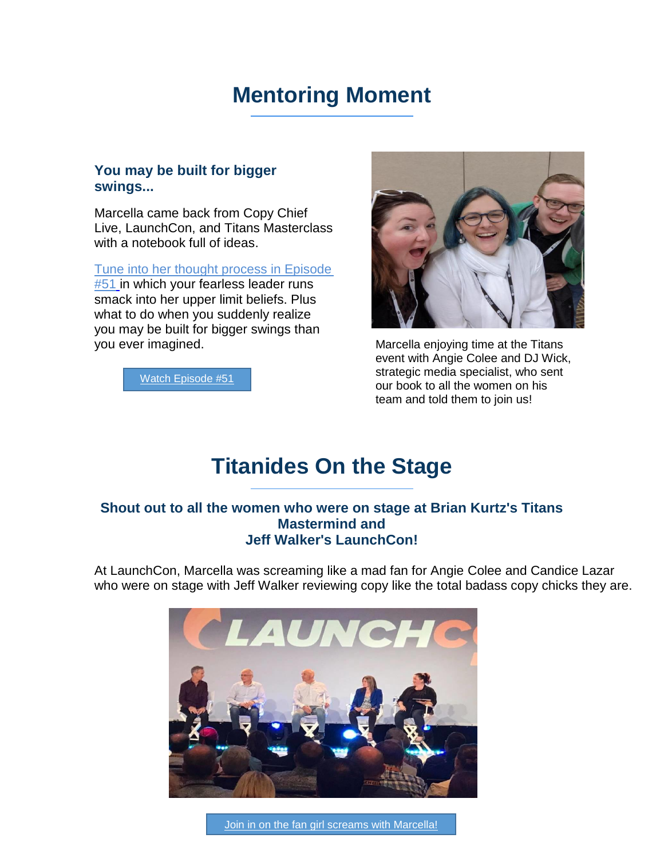### **Mentoring Moment**

#### **You may be built for bigger swings...**

Marcella came back from Copy Chief Live, LaunchCon, and Titans Masterclass with a notebook full of ideas.

[Tune into her thought process in Episode](https://www.facebook.com/groups/Titanides/)  **[#51](https://www.facebook.com/groups/Titanides/)** in which your fearless leader runs smack into her upper limit beliefs. Plus what to do when you suddenly realize you may be built for bigger swings than you ever imagined.

[Watch Episode #51](https://www.facebook.com/groups/Titanides/permalink/2507020502908101/)



Marcella enjoying time at the Titans event with Angie Colee and DJ Wick, strategic media specialist, who sent our book to all the women on his team and told them to join us!

### **Titanides On the Stage**

#### **Shout out to all the women who were on stage at Brian Kurtz's Titans Mastermind and Jeff Walker's LaunchCon!**

At LaunchCon, Marcella was screaming like a mad fan for Angie Colee and Candice Lazar who were on stage with Jeff Walker reviewing copy like the total badass copy chicks they are.

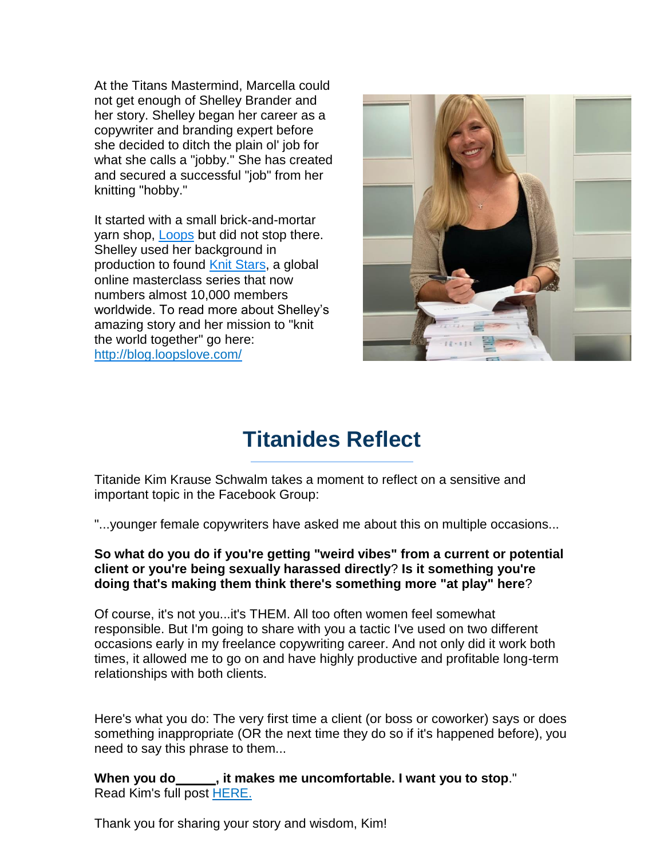At the Titans Mastermind, Marcella could not get enough of Shelley Brander and her story. Shelley began her career as a copywriter and branding expert before she decided to ditch the plain ol' job for what she calls a "jobby." She has created and secured a successful "job" from her knitting "hobby."

It started with a small brick-and-mortar yarn shop, [Loops](https://loopslove.myshopify.com/) but did not stop there. Shelley used her background in production to found [Knit Stars,](https://www.knitstars.com/) a global online masterclass series that now numbers almost 10,000 members worldwide. To read more about Shelley's amazing story and her mission to "knit the world together" go here: <http://blog.loopslove.com/>



## **Titanides Reflect**

Titanide Kim Krause Schwalm takes a moment to reflect on a sensitive and important topic in the Facebook Group:

"...younger female copywriters have asked me about this on multiple occasions...

**So what do you do if you're getting "weird vibes" from a current or potential client or you're being sexually harassed directly**? **Is it something you're doing that's making them think there's something more "at play" here**?

Of course, it's not you...it's THEM. All too often women feel somewhat responsible. But I'm going to share with you a tactic I've used on two different occasions early in my freelance copywriting career. And not only did it work both times, it allowed me to go on and have highly productive and profitable long-term relationships with both clients.

Here's what you do: The very first time a client (or boss or coworker) says or does something inappropriate (OR the next time they do so if it's happened before), you need to say this phrase to them...

**When you do , it makes me uncomfortable. I want you to stop**." Read Kim's full post [HERE.](https://www.facebook.com/groups/Titanides/)

Thank you for sharing your story and wisdom, Kim!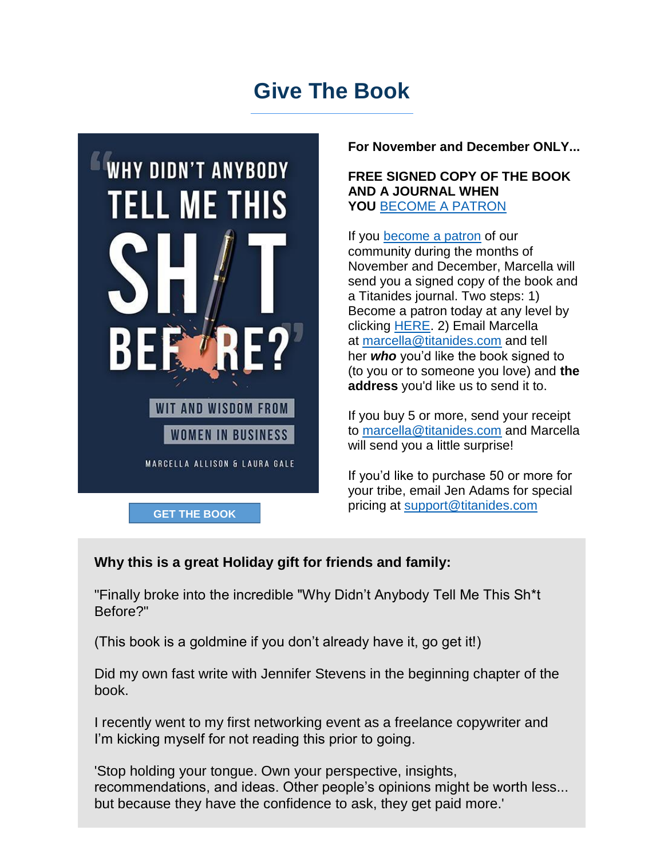## **Give The Book**



**For November and December ONLY...**

#### **FREE SIGNED COPY OF THE BOOK AND A JOURNAL WHEN YOU** [BECOME A PATRON](https://titanides.com/join%20us/)

If you [become a patron](https://titanides.com/join%20us/) of our community during the months of November and December, Marcella will send you a signed copy of the book and a Titanides journal. Two steps: 1) Become a patron today at any level by clicking [HERE.](https://titanides.com/join%20us/) 2) Email Marcella at [marcella@titanides.com](mailto:marcella@titanides.com) and tell her *who* you'd like the book signed to (to you or to someone you love) and **the address** you'd like us to send it to.

If you buy 5 or more, send your receipt to [marcella@titanides.com](mailto:marcella@titanides.com) and Marcella will send you a little surprise!

If you'd like to purchase 50 or more for your tribe, email Jen Adams for special

#### **Why this is a great Holiday gift for friends and family:**

"Finally broke into the incredible "Why Didn't Anybody Tell Me This Sh\*t Before?"

(This book is a goldmine if you don't already have it, go get it!)

Did my own fast write with Jennifer Stevens in the beginning chapter of the book.

I recently went to my first networking event as a freelance copywriter and I'm kicking myself for not reading this prior to going.

'Stop holding your tongue. Own your perspective, insights, recommendations, and ideas. Other people's opinions might be worth less... but because they have the confidence to ask, they get paid more.'